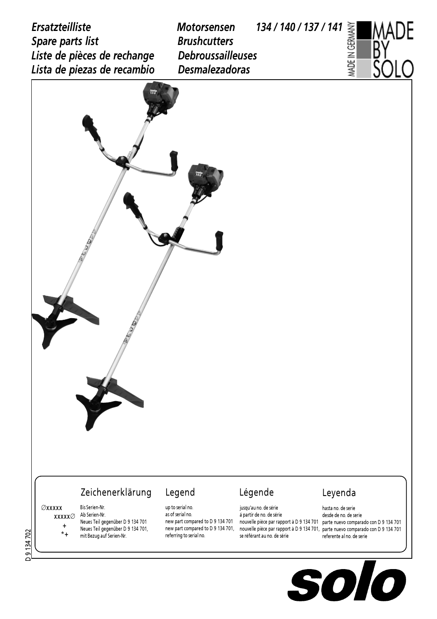**Frsatzteilliste Motorsensen 134/140/137/141**<br> *Spare parts list*<br> *Liste de pièces de rechange Debroussailleuses*<br> *Lista de pièces de recambio* Desmalezadoras<br>
<u>Lista de piezas de recambio</u> Desmalezadoras *Spare parts list Brushcutters Liste de pièces de rechange Debroussailleuses Lista de piezas de recambio Desmalezadoras*





jusqu'au no. de série á partir de no. de série se référant au no. de série

nouvelle pièce par rapport à D 9 134 701 parte nuevo comparado con D 9 134 701 nouvelle pièce par rapport à D 9 134 701, parte nuevo comparado con D 9 134 701 hasta no. de serie desde de no. de serie referente al no. de serie



## D 9 134 702 D 9 134 702

xxxxxÆ + \*+

Ab Serien-Nr.

Neues Teil gegenüber D 9 134 701 Neues Teil gegenüber D 9 134 701, mit Bezug auf Serien-Nr.

as of serial no.

referring to serial no.

new part compared to D 9 134 701 new part compared to D 9 134 701,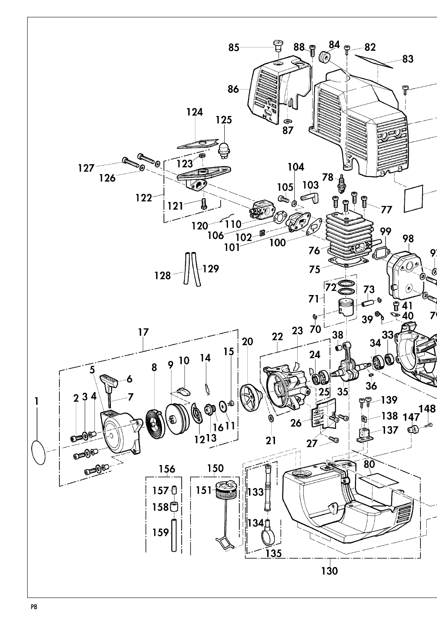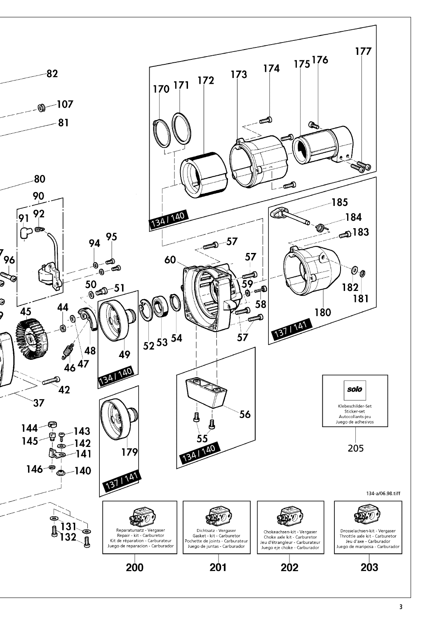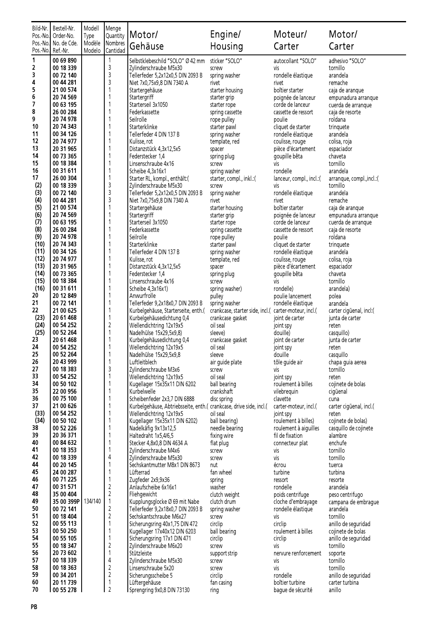| Bild-Nr. I<br>Pos.-No. | Bestell-Nr.<br>Order-No. | Modell<br>Type | Menge<br>Quantity                | Motor/                                                             | Engine/                                   | Moteur/                                      | Motor/                                      |
|------------------------|--------------------------|----------------|----------------------------------|--------------------------------------------------------------------|-------------------------------------------|----------------------------------------------|---------------------------------------------|
|                        | Pos.-No. No. de Cde.     | Modèle         | Nombres                          | Gehäuse                                                            | Housing                                   | Carter                                       | Carter                                      |
| Pos.-No.               | Ref.-Nr.                 | Modelo         | Cantidad                         |                                                                    |                                           |                                              |                                             |
| 1<br>2                 | 00 69 890<br>00 18 339   |                | 1<br>3                           | Selbstklebeschild "SOLO" Ø 42 mm<br>Zylinderschraube M5x30         | sticker "SOLO"<br>screw                   | autocollant "SOLO"<br><b>VİS</b>             | adhesivo "SOLO"<br>tornillo                 |
| 3                      | 00 72 140                |                | 3                                | Tellerfeder 5,2x12x0,5 DIN 2093 B                                  | spring washer                             | rondelle élastique                           | arandela                                    |
| 4                      | 00 44 281                |                | 3                                | Niet 7x0,75x9,8 DIN 7340 A                                         | rivet                                     | rivet                                        | remache                                     |
| 5                      | 21 00 574                |                | 1                                | Startergehäuse                                                     | starter housing                           | boîtier starter                              | caja de aranque                             |
| 6<br>7                 | 20 74 569<br>00 63 195   |                | 1<br>1                           | Startergriff<br>Starterseil 3x1050                                 | starter grip<br>starter rope              | poignée de lanceur<br>corde de lanceur       | empunadura arranque<br>cuerda de arranque   |
| 8                      | 26 00 284                |                | 1                                | Federkassette                                                      | spring cassette                           | cassette de ressort                          | caja de resorte                             |
| 9                      | 20 74 978                |                | 1                                | Seilrolle                                                          | rope pulley                               | poulie                                       | roldana                                     |
| 10                     | 20 74 343                |                | 1<br>1                           | Starterklinke                                                      | starter pawl                              | cliquet de starter                           | trinquete                                   |
| 11<br>12               | 00 34 126<br>20 74 977   |                | 1                                | Tellerfeder 4 DIN 137 B<br>Kulisse, rot                            | spring washer<br>template, red            | rondelle élastique<br>coulisse, rouge        | arandela<br>colisa, roja                    |
| 13                     | 20 31 965                |                | 1                                | Distanzstück 4,3x12,5x5                                            | spacer                                    | pièce d'écartement                           | espaciador                                  |
| 14                     | 00 73 365                |                | 1                                | Federstecker 1,4                                                   | spring plug                               | goupille bêta                                | chaveta                                     |
| 15<br>16               | 00 18 384<br>00 31 611   |                | 1<br>1                           | Linsenschraube 4x16                                                | screw                                     | <b>VİS</b>                                   | tornillo<br>arandela                        |
| 17                     | 26 00 304                |                | $\mathbf{1}$                     | Scheibe 4,3x16x1<br>Starter RL, kompl., enthält:(                  | spring washer<br>starter, compl., inkl.:( | rondelle<br>lanceur, compl., incl.:(         | arranque, compl., incl.: (                  |
| (2)                    | 00 18 339                |                | 3                                | Zylinderschraube M5x30                                             | screw                                     | <b>VIS</b>                                   | tornillo                                    |
| (3)                    | 00 72 140                |                | 3                                | Tellerfeder 5,2x12x0,5 DIN 2093 B                                  | spring washer                             | rondelle élastique                           | arandela                                    |
| (4)                    | 00 44 281                |                | 3<br>1                           | Niet 7x0,75x9,8 DIN 7340 A                                         | rivet                                     | rivet                                        | remache                                     |
| (5)<br>(6)             | 21 00 574<br>20 74 569   |                | 1                                | Startergehäuse<br>Startergriff                                     | starter housing<br>starter grip           | boîtier starter<br>poignée de lanceur        | caja de aranque<br>empunadura arranque      |
| (7)                    | 00 63 195                |                | 1                                | Starterseil 3x1050                                                 | starter rope                              | corde de lanceur                             | cuerda de arranque                          |
| (8)                    | 26 00 284                |                | 1                                | Federkassette                                                      | spring cassette                           | cassette de ressort                          | caja de resorte                             |
| (9)<br>(10)            | 20 74 978                |                | 1<br>1                           | Seilrolle                                                          | rope pulley                               | poulie                                       | roldana                                     |
| (11)                   | 20 74 343<br>00 34 126   |                | 1                                | Starterklinke<br>Tellerfeder 4 DIN 137 B                           | starter pawl<br>spring washer             | cliquet de starter<br>rondelle élastique     | trinquete<br>arandela                       |
| (12)                   | 20 74 977                |                | 1                                | Kulisse, rot                                                       | template, red                             | coulisse, rouge                              | colisa, roja                                |
| (13)                   | 20 31 965                |                | 1                                | Distanzstück 4,3x12,5x5                                            | spacer                                    | pièce d'écartement                           | espaciador                                  |
| (14)<br>(15)           | 00 73 365<br>00 18 384   |                | 1<br>1                           | Federstecker 1,4                                                   | spring plug                               | goupille bêta                                | chaveta                                     |
| (16)                   | 00 31 611                |                | 1                                | Linsenschraube 4x16<br>Scheibe 4,3x16x1)                           | screw<br>spring washer)                   | <b>VİS</b><br>rondelle)                      | tornillo<br>arandela)                       |
| 20                     | 20 12 849                |                | 1                                | Anwurfrolle                                                        | pulley                                    | poulie lancement                             | polea                                       |
| 21                     | 00 72 141                |                | 1                                | Tellerfeder 9,2x18x0,7 DIN 2093 B                                  | spring washer                             | rondelle élastique                           | arandela                                    |
| 22<br>(23)             | 21 00 625<br>20 61 468   |                | 1<br>1                           | Kurbelgehäuse, Starterseite, enth.(<br>Kurbelgehäusedichtung 0,4   | crankcase, starter side, incl.(           | carter-moteur, incl.(                        | carter cigüenal, incl:(<br>junta de carter  |
| (24)                   | 00 54 252                |                | $\overline{c}$                   | Wellendichtring 12x19x5                                            | crankcase gasket<br>oil seal              | joint de carter<br>joint spy                 | reten                                       |
| (25)                   | 00 52 264                |                | 1                                | Nadelhülse 15x29,5x9,8)                                            | sleeve)                                   | douille)                                     | casquillo)                                  |
| 23                     | 20 61 468                |                | $\mathbf{1}$                     | Kurbelgehäusedichtung 0,4                                          | crankcase gasket                          | joint de carter                              | junta de carter                             |
| 24<br>25               | 00 54 252<br>00 52 264   |                | 1                                | Wellendichtring 12x19x5<br>Nadelhülse 15x29,5x9,8                  | oil seal<br>sleeve                        | joint spy<br>douille                         | reten<br>casquillo                          |
| 26                     | 20 43 999                |                | 1                                | Luftleitblech                                                      | air guide plate                           | tôle guide air                               | chapa guia aerea                            |
| 27                     | 00 18 383                |                | 3                                | Zylinderschraube M3x6                                              | screw                                     | <b>VİS</b>                                   | tornillo                                    |
| 33                     | 00 54 252                |                | 1                                | Wellendichtring 12x19x5                                            | oil seal                                  | joint spy                                    | reten                                       |
| 34<br>35               | 00 50 102<br>22 00 956   |                | 1<br>1                           | Kugellager 15x35x11 DIN 6202<br>Kurbelwelle                        | ball bearing<br>crankshaft                | roulement à billes<br>vilebrequin            | cojinete de bolas<br>cigüenal               |
| 36                     | 00 75 100                |                | 1                                | Scheibenfeder 2x3,7 DIN 6888                                       | disc spring                               | clavette                                     | cuna                                        |
| 37                     | 21 00 626                |                | 1                                | Kurbelgehäuse, Abtriebsseite, enth.( crankcase, drive side, incl.( |                                           | carter-moteur, incl.(                        | carter cigüenal, incl.(                     |
| (33)<br>(34)           | 00 54 252                |                | 1<br>1                           | Wellendichtring 12x19x5                                            | oil seal                                  | joint spy                                    | reten                                       |
| 38                     | 00 50 102<br>00 52 226   |                | 1                                | Kugellager 15x35x11 DIN 6202)<br>Nadelkäfig 9x13x12,5              | ball bearing)<br>needle bearing           | roulement à billes)<br>roulement à aiguilles | cojinete de bolas)<br>casquillo de cojinete |
| 39                     | 20 36 371                |                | 1                                | Haltedraht 1x5,4/6,5                                               | fixing wire                               | fil de fixation                              | alambre                                     |
| 40                     | 00 84 632                |                | 1                                | Stecker 4,8x0,8 DIN 4634 A                                         | flat plug                                 | connecteur plat                              | enchufe                                     |
| 41<br>42               | 00 18 353<br>00 18 339   |                | 1<br>4                           | Zylinderschraube M4x6<br>Zylinderschraube M5x30                    | screw                                     | <b>VİS</b><br>vis                            | tornillo<br>tornillo                        |
| 44                     | 00 20 145                |                | 1                                | Sechskantmutter M8x1 DIN 8673                                      | screw<br>nut                              | écrou                                        | tuerca                                      |
| 45                     | 24 00 287                |                | 1                                | Lüfterrad                                                          | fan wheel                                 | turbine                                      | turbina                                     |
| 46                     | 00 71 225                |                | $\mathbf{1}$                     | Zugfeder 2x9,9x36                                                  | spring                                    | ressort                                      | resorte                                     |
| 47<br>48               | 00 31 571<br>35 00 404   |                | $\overline{c}$<br>$\overline{c}$ | Anlaufscheibe 6x16x1<br>Fliehgewicht                               | washer<br>clutch weight                   | rondelle<br>poids centrifuge                 | arandela<br>peso centrifugo                 |
| 49                     | 35 00 399P               | 134/140        | 1                                | Kupplungsglocke Ø 69 mit Nabe                                      | clutch drum                               | cloche d'embrayage                           | campana de embrague                         |
| 50                     | 00 72 141                |                | $\overline{c}$                   | Tellerfeder 9,2x18x0,7 DIN 2093 B                                  | spring washer                             | rondelle élastique                           | arandela                                    |
| 51<br>52               | 00 18 404                |                | $\overline{2}$<br>1              | Sechskantschraube M6x27                                            | screw                                     | <b>VİS</b>                                   | tornillo                                    |
| 53                     | 00 55 113<br>00 50 250   |                | 1                                | Sicherungsring 40x1,75 DIN 472<br>Kugellager 17x40x12 DIN 6203     | circlip<br>ball bearing                   | circlip<br>roulement à billes                | anillo de seguridad<br>cojinete de bolas    |
| 54                     | 00 55 105                |                | $\mathbf{1}$                     | Sicherungsring 17x1 DIN 471                                        | circlip                                   | circlip                                      | anillo de seguridad                         |
| 55                     | 00 18 347                |                | $\overline{c}$                   | Zylinderschraube M6x20                                             | screw                                     | <b>VİS</b>                                   | tornillo                                    |
| 56<br>57               | 20 73 602                |                | 1<br>4                           | Stützleiste                                                        | support strip                             | nervure renforcement                         | soporte                                     |
| 58                     | 00 18 339<br>00 18 363   |                | $\overline{c}$                   | Zylinderschraube M5x30<br>Linsenschraube 5x20                      | screw<br>screw                            | <b>VİS</b><br>vis                            | tornillo<br>tornillo                        |
| 59                     | 00 34 201                |                | $\overline{c}$                   | Sicherungsscheibe 5                                                | circlip                                   | rondelle                                     | anillo de seguridad                         |
| 60                     | 20 11 739                |                | 1                                | Lüftergehäuse                                                      | fan casing                                | boîtier turbine                              | carter turbina                              |
| 70                     | 00 55 278                |                | $\overline{2}$                   | Sprengring 9x0,8 DIN 73130                                         | ring                                      | bague de sécurité                            | anillo                                      |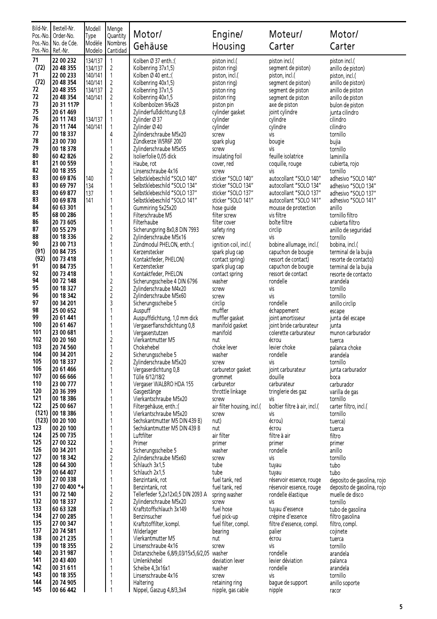| Bild-Nr. I        | Bestell-Nr.<br>Pos.-No. Order-No. | Modell<br>Type     | Menge<br>Quantity   | Motor/                                                       | Engine/                                  | Moteur/                                          | Motor/                                                   |
|-------------------|-----------------------------------|--------------------|---------------------|--------------------------------------------------------------|------------------------------------------|--------------------------------------------------|----------------------------------------------------------|
|                   | Pos.-No. No. de Cde.              | Modèle             | Nombres             | Gehäuse                                                      | Housing                                  | Carter                                           | Carter                                                   |
| Pos.-No. Ref.-Nr. |                                   | Modelo             | Cantidad            |                                                              |                                          |                                                  |                                                          |
| 71<br>(72)        | 22 00 232<br>20 48 355            | 134/137<br>134/137 | 1<br>2              | Kolben Ø 37 enth.:(<br>Kolbenring 37x1,5)                    | piston incl.(<br>piston ring)            | piston incl.(<br>segment de piston)              | piston incl.(<br>anillo de piston)                       |
| 71                | 22 00 233                         | 140/141            | $\mathbf{1}$        | Kolben Ø 40 ent.:(                                           | piston, incl.(                           | piston, incl.(                                   | piston, incl.(                                           |
| (72)              | 20 48 354                         | 140/141            | $\overline{2}$      | Kolbenring 40x1,5)                                           | piston ring)                             | segment de piston)                               | anillo de piston)                                        |
| 72                | 20 48 355                         | 134/137            | 2                   | Kolbenring 37x1,5                                            | piston ring                              | segment de piston                                | anillo de piston                                         |
| 72<br>73          | 20 48 354<br>20 31 117P           | 140/141            | 2<br>1              | Kolbenring 40x1,5<br>Kolbenbolzen 9/6x28                     | piston ring<br>piston pin                | segment de piston                                | anillo de piston                                         |
| 75                | 20 61 469                         |                    |                     | Zylinderfußdichtung 0,8                                      | cylinder gasket                          | axe de piston<br>joint cylindre                  | bulon de piston<br>junta cilindro                        |
| 76                | 20 11 743                         | 134/137            | 1                   | Zylinder Ø 37                                                | cylinder                                 | cylindre                                         | cilindro                                                 |
| 76                | 20 11 744                         | 140/141            | 1                   | Zylinder Ø 40                                                | cylinder                                 | cylindre                                         | cilindro                                                 |
| 77                | 00 18 337                         |                    | 4                   | Zylinderschraube M5x20                                       | screw                                    | vis                                              | tornillo                                                 |
| 78<br>79          | 23 00 730<br>00 18 378            |                    | 1<br>1              | Zündkerze WSR6F 200                                          | spark plug                               | bougie<br>vis                                    | bujia<br>tornillo                                        |
| 80                | 60 42 826                         |                    | $\mathsf 2$         | Zylinderschraube M5x55<br>Isolierfolie 0,05 dick             | screw<br>insulating foil                 | feuille isolatrice                               | laminilla                                                |
| 81                | 21 00 559                         |                    | 1                   | Haube, rot                                                   | cover, red                               | coquille, rouge                                  | cubierta, rojo                                           |
| 82                | 00 18 355                         |                    | $\overline{2}$      | Linsenschraube 4x16                                          | screw                                    | vis                                              | tornillo                                                 |
| 83                | 00 69 876                         | 140                | $\mathbf{1}$        | Selbstklebeschild "SOLO 140"                                 | sticker "SOLO 140"                       | autocollant "SOLO 140"                           | adhesivo "SOLO 140"                                      |
| 83<br>83          | 00 69 797<br>00 69 877            | 134<br>137         | 1<br>$\mathbf{1}$   | Selbstklebeschild "SOLO 134"                                 | sticker "SOLO 134"                       | autocollant "SOLO 134"                           | adhesivo "SOLO 134"                                      |
| 83                | 00 69 878                         | 141                | 1                   | Selbstklebeschild "SOLO 137"<br>Selbstklebeschild "SOLO 141" | sticker "SOLO 137"<br>sticker "SOLO 141" | autocollant "SOLO 137"<br>autocollant "SOLO 141" | adhesivo "SOLO 137"<br>adhesivo "SOLO 141"               |
| 84                | 60 63 301                         |                    | 1                   | Gummiring 5x25x20                                            | hose guide                               | mousse de protection                             | anillo                                                   |
| 85                | 68 00 286                         |                    | 1                   | Filterschraube M5                                            | filter screw                             | vis filtre                                       | tornillo filtro                                          |
| 86                | 20 73 605                         |                    | 1                   | Filterhaube                                                  | filter cover                             | boîte filtre                                     | cubierta filtro                                          |
| 87<br>88          | 00 55 279<br>00 18 336            |                    | 1<br>$\overline{2}$ | Sicherungsring 8x0,8 DIN 7993<br>Zylinderschraube M5x16      | safety ring<br>screw                     | circlip<br>vis                                   | anillo de seguridad<br>tornillo                          |
| 90                | 23 00 713                         |                    | 1                   | Zündmodul PHELON, enth.:(                                    | ignition coil, incl.(                    | bobine allumage, incl.(                          | bobina, incl.(                                           |
| (91)              | 00 84 735                         |                    | 1                   | Kerzenstecker                                                | spark plug cap                           | capuchon de bougie                               | terminal de la bujia                                     |
| (92)              | 00 73 418                         |                    | 1                   | Kontaktfeder, PHELON)                                        | contact spring)                          | ressort de contact)                              | resorte de contacto)                                     |
| 91<br>92          | 00 84 735                         |                    | $\mathbf{1}$        | Kerzenstecker                                                | spark plug cap                           | capuchon de bougie                               | terminal de la bujia                                     |
| 94                | 00 73 418<br>00 72 148            |                    | 1<br>$\overline{2}$ | Kontaktfeder, PHELON<br>Sicherungsscheibe 4 DIN 6796         | contact spring<br>washer                 | ressort de contact<br>rondelle                   | resorte de contacto<br>arandela                          |
| 95                | 00 18 327                         |                    | $\sqrt{2}$          | Zylinderschraube M4x20                                       | screw                                    | vis                                              | tornillo                                                 |
| 96                | 00 18 342                         |                    | $\overline{2}$      | Zylinderschraube M5x60                                       | screw                                    | vis                                              | tornillo                                                 |
| 97                | 00 34 201                         |                    | 3                   | Sicherungsscheibe 5                                          | circlip                                  | rondelle                                         | anillo circlip                                           |
| 98<br>99          | 25 00 652<br>20 61 441            |                    | 1<br>1              | Auspuff                                                      | muffler                                  | échappement<br>joint amortisseur                 | escape                                                   |
| 100               | 20 61 467                         |                    | 1                   | Auspuffdichtung, 1,0 mm dick<br>Vergaserflanschdichtung 0,8  | muffler gasket<br>manifold gasket        | joint bride carburateur                          | junta del escape<br>junta                                |
| 101               | 23 00 681                         |                    | $\mathbf{1}$        | Vergaserstutzen                                              | manifold                                 | colerette carburateur                            | munon carburador                                         |
| 102               | 00 20 160                         |                    | $\mathsf 2$         | Vierkantmutter M5                                            | nut                                      | écrou                                            | tuerca                                                   |
| 103               | 20 74 560                         |                    | $\mathbf{1}$        | Chokehebel                                                   | choke lever                              | levier choke                                     | palanca choke                                            |
| 104<br>105        | 00 34 201<br>00 18 337            |                    | 2<br>$\overline{2}$ | Sicherungsscheibe 5<br>Zylinderschraube M5x20                | washer<br>screw                          | rondelle<br>vis                                  | arandela<br>tornillo                                     |
| 106               | 20 61 466                         |                    | 1                   | Vergaserdichtung 0,8                                         | carburetor gasket                        | joint carburateur                                | junta carburador                                         |
| 107               | 00 66 666                         |                    | 1                   | Tülle 6/12/18/2                                              | grommet                                  | douille                                          | boca                                                     |
| 110               | 23 00 777                         |                    | 1                   | Vergaser WALBRO HDA 155                                      | carburetor                               | carburateur                                      | carburador                                               |
| 120<br>121        | 20 36 399<br>00 18 386            |                    | 1<br>1              | Gasgestänge<br>Vierkantschraube M5x20                        | throttle linkage<br>screw                | tringlerie des gaz<br>vis                        | varilla de gas<br>tornillo                               |
| 122               | 25 00 667                         |                    | 1                   | Filtergehäuse, enth.:(                                       | air filter housing, incl.(               | boîtier filtre à air, incl.(                     | carter filtro, incl.(                                    |
|                   | $(121)$ 00 18 386                 |                    | 1                   | Vierkantschraube M5x20                                       | screw                                    | vis                                              | tornillo                                                 |
|                   | $(123)$ 00 20 100                 |                    | 1                   | Sechskantmutter M5 DIN 439 B)                                | nut)                                     | écrou)                                           | tuerca)                                                  |
| 123<br>124        | 00 20 100                         |                    | 1                   | Sechskantmutter M5 DIN 439 B                                 | nut                                      | écrou                                            | tuerca                                                   |
| 125               | 25 00 735<br>27 00 322            |                    | 1<br>1              | Luftfilter<br>Primer                                         | air filter<br>primer                     | filtre à air<br>primer                           | filtro<br>primer                                         |
| 126               | 00 34 201                         |                    | $\overline{2}$      | Sicherungsscheibe 5                                          | washer                                   | rondelle                                         | anillo                                                   |
| 127               | 00 18 342                         |                    | $\sqrt{2}$          | Zylinderschraube M5x60                                       | screw                                    | vis                                              | tornillo                                                 |
| 128               | 00 64 300                         |                    | 1                   | Schlauch 3x1,5                                               | tube                                     | tuyau                                            | tubo                                                     |
| 129<br>130        | 00 64 407<br>27 00 338            |                    | 1<br>1              | Schlauch 2x1,5                                               | tube                                     | tuyau<br>réservoir essence, rouge                | tubo                                                     |
| 130               | 27 00 400 *+                      |                    | 1                   | Benzintank, rot<br>Benzintank, rot                           | fuel tank, red<br>fuel tank, red         | réservoir essence, rouge                         | deposito de gasolina, rojo<br>deposito de gasolina, rojo |
| 131               | 00 72 140                         |                    | $\overline{2}$      | Tellerfeder 5,2x12x0,5 DIN 2093 A                            | spring washer                            | rondelle élastique                               | muelle de disco                                          |
| 132               | 00 18 337                         |                    | $\overline{c}$      | Zylinderschraube M5x20                                       | screw                                    | <b>VİS</b>                                       | tornillo                                                 |
| 133               | 60 63 328                         |                    | 1                   | Kraftstoffschlauch 3x149                                     | fuel hose                                | tuyau d'essence                                  | tubo de gasolina                                         |
| 134<br>135        | 27 00 285<br>27 00 347            |                    | 1<br>1              | Benzinsucher<br>Kraftstoffilter, kompl.                      | fuel pick-up<br>fuel filter, compl.      | crépine d'essence<br>filtre d'essence, compl.    | filtro gasolina                                          |
| 137               | 20 74 581                         |                    | 1                   | Widerlager                                                   | bearing                                  | palier                                           | filtro, compl.<br>cojinete                               |
| 138               | 00 21 235                         |                    | 1                   | Vierkantmutter M5                                            | nut                                      | écrou                                            | tuerca                                                   |
| 139               | 00 18 355                         |                    | $\overline{2}$      | Linsenschraube 4x16                                          | screw                                    | vis                                              | tornillo                                                 |
| 140               | 20 31 987                         |                    | 1                   | Distanzscheibe 6,8/9,03/15x5,6/2,05                          | washer                                   | rondelle                                         | arandela                                                 |
| 141<br>142        | 20 43 400<br>00 31 611            |                    | 1<br>1              | Umlenkhebel<br>Scheibe 4,3x16x1                              | deviation lever<br>washer                | levier déviation<br>rondelle                     | palanca<br>arandela                                      |
| 143               | 00 18 355                         |                    | 1                   | Linsenschraube 4x16                                          | screw                                    | vis                                              | tornillo                                                 |
| 144               | 20 74 905                         |                    | $\mathbf{1}$        | Haltering                                                    | retaining ring                           | bague de support                                 | anillo soporte                                           |
| 145               | 100 66 442                        |                    | 1                   | Nippel, Gaszug 4,8/3,3x4                                     | nipple, gas cable                        | nipple                                           | racor                                                    |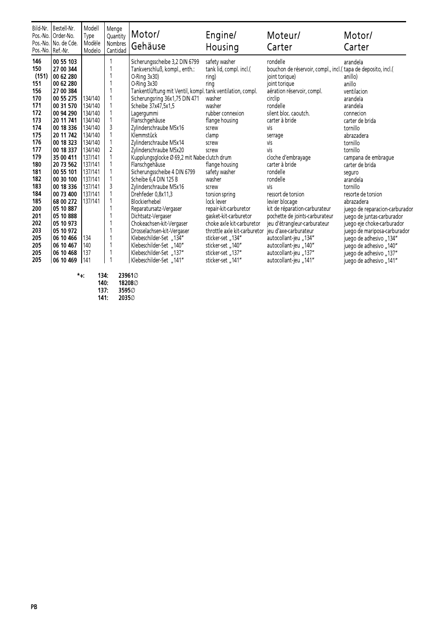|       | Bild-Nr. Bestell-Nr.<br>Pos.-No. Order-No.<br>Pos.-No. No. de Cde.<br>Pos.-No. Ref.-Nr. | Modell<br>Type<br>Modèle<br>Modelo | Menge<br>Quantity<br>Nombres<br>Cantidad | Motor/<br>Gehäuse                                          | Engine/<br>Housing           | Moteur/<br>Carter                                            | Motor/<br>Carter               |
|-------|-----------------------------------------------------------------------------------------|------------------------------------|------------------------------------------|------------------------------------------------------------|------------------------------|--------------------------------------------------------------|--------------------------------|
| 146   | 00 55 103                                                                               |                                    |                                          | Sicherungsscheibe 3,2 DIN 6799                             | safety washer                | rondelle                                                     | arandela                       |
| 150   | 27 00 344                                                                               |                                    |                                          | Tankverschluß, kompl., enth.:                              | tank lid, compl. incl.(      | bouchon de réservoir, compl., incl.(tapa de deposito, incl.( |                                |
| (151) | 00 62 280                                                                               |                                    |                                          | $O-Ring 3x30$                                              | ring)                        | joint torique)                                               | anillo)                        |
| 151   | 00 62 280                                                                               |                                    |                                          | O-Ring 3x30                                                | ring                         | joint torique                                                | anillo                         |
| 156   | 27 00 384                                                                               |                                    |                                          | Tankentlüftung mit Ventil, kompl. tank ventilation, compl. |                              | aération réservoir, compl.                                   | ventilacion                    |
| 170   | 00 55 275                                                                               | 134/140                            |                                          | Sicherungsring 36x1,75 DIN 471                             | washer                       | circlip                                                      | arandela                       |
| 171   | 00 31 570                                                                               | 134/140                            |                                          | Scheibe 37x47,5x1,5                                        | washer                       | rondelle                                                     | arandela                       |
| 172   | 00 94 290                                                                               | 134/140                            |                                          | Lagergummi                                                 | rubber connexion             | silent bloc. caoutch.                                        | connecion                      |
| 173   | 20 11 741                                                                               | 134/140                            |                                          | Flanschgehäuse                                             | flange housing               | carter à bride                                               | carter de brida                |
| 174   | 00 18 336                                                                               | 134/140                            | 3                                        | Zylinderschraube M5x16                                     | screw                        | vis                                                          | tornillo                       |
| 175   | 20 11 742                                                                               | 134/140                            |                                          | Klemmstück                                                 | clamp                        | serrage                                                      | abrazadera                     |
| 176   | 00 18 323                                                                               | 134/140                            |                                          | Zylinderschraube M5x14                                     | screw                        | vis                                                          | tornillo                       |
| 177   | 00 18 337                                                                               | 134/140                            | 2                                        | Zylinderschraube M5x20                                     | screw                        | vis                                                          | tornillo                       |
| 179   | 35 00 411                                                                               | 137/141                            |                                          | Kupplungsglocke Ø 69,2 mit Nabe clutch drum                |                              | cloche d'embrayage                                           | campana de embraque            |
| 180   | 20 73 562                                                                               | 137/141                            |                                          | Flanschgehäuse                                             | flange housing               | carter à bride                                               | carter de brida                |
| 181   | 00 55 101                                                                               | 137/141                            |                                          | Sicherungsscheibe 4 DIN 6799                               | safety washer                | rondelle                                                     | seguro                         |
| 182   | 00 30 100                                                                               | 137/141                            |                                          | Scheibe 6,4 DIN 125 B                                      | washer                       | rondelle                                                     | arandela                       |
| 183   | 00 18 336                                                                               | 137/141                            | 3                                        | Zylinderschraube M5x16                                     | screw                        | vis                                                          | tornillo                       |
| 184   | 00 73 400                                                                               | 137/141                            |                                          | Drehfeder 0,8x11,3                                         | torsion spring               | ressort de torsion                                           | resorte de torsion             |
| 185   | 68 00 272                                                                               | 137/141                            |                                          | Blockierhebel                                              | lock lever                   | levier blocage                                               | abrazadera                     |
| 200   | 05 10 887                                                                               |                                    |                                          | Reparatursatz-Vergaser                                     | repair-kit-carburetor        | kit de réparation-carburateur                                | juego de reparacion-carburador |
| 201   | 05 10 888                                                                               |                                    |                                          | Dichtsatz-Vergaser                                         | gasket-kit-carburetor        | pochette de joints-carburateur                               | juego de juntas-carburador     |
| 202   | 05 10 973                                                                               |                                    |                                          | Chokeachsen-kit-Vergaser                                   | choke axle kit-carburetor    | jeu d'étrangleur-carburateur                                 | juego eje choke-carburador     |
| 203   | 05 10 972                                                                               |                                    |                                          | Drosselachsen-kit-Vergaser                                 | throttle axle kit-carburetor | jeu d'axe-carburateur                                        | juego de mariposa-carburador   |
| 205   | 06 10 466                                                                               | 134                                |                                          | Klebeschilder-Set "134"                                    | sticker-set "134"            | autocollant-jeu "134"                                        | juego de adhesivo "134"        |
| 205   | 06 10 467                                                                               | 140                                |                                          | Klebeschilder-Set "140"                                    | sticker-set "140"            | autocollant-jeu "140"                                        | juego de adhesivo "140"        |
| 205   | 06 10 468                                                                               | 137                                |                                          | Klebeschilder-Set "137"                                    | sticker-set "137"            | autocollant-jeu "137"                                        | juego de adhesivo "137"        |
| 205   | 06 10 469                                                                               | 141                                |                                          | Klebeschilder-Set "141"                                    | sticker-set "141"            | autocollant-jeu "141"                                        | juego de adhesivo "141"        |

**\*+: 134: 23961**∅ **140: 18208**∅ **137: 3595**∅ **141: 2035**∅

**PB**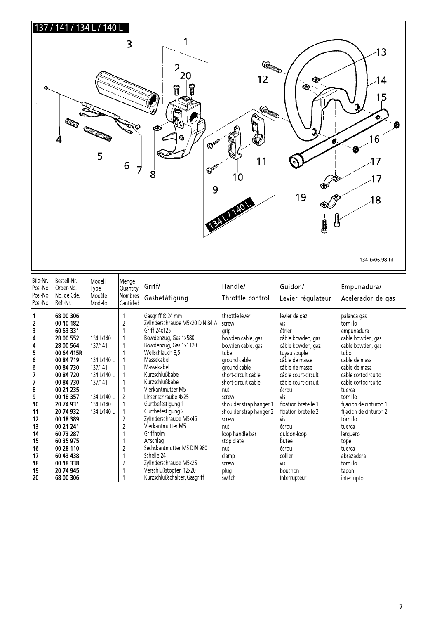## 137 / 141 / 134 L / 140 L



| Bild-Nr.<br>Pos.-No.<br>Pos.-No.<br>Pos.-No.                                                                                      | Bestell-Nr.<br>Order-No.<br>No. de Cde.<br>Ref.-Nr.                                                                                                                                                                                                                                         | Modell<br>Type<br>Modèle<br>Modelo                                                                                      | Menge<br>Quantity<br>Nombres  <br>Cantidad | Griff/<br>Gasbetätigung                                                                                                                                                                                                                                                                                                                                                                                                                                                  | Handle/<br>Throttle control                                                                                                                                                                                                                                                                                             | Guidon/<br>Levier régulateur                                                                                                                                                                                                                                                                                                          | Empunadura/<br>Acelerador de gas                                                                                                                                                                                                                                                                                                         |
|-----------------------------------------------------------------------------------------------------------------------------------|---------------------------------------------------------------------------------------------------------------------------------------------------------------------------------------------------------------------------------------------------------------------------------------------|-------------------------------------------------------------------------------------------------------------------------|--------------------------------------------|--------------------------------------------------------------------------------------------------------------------------------------------------------------------------------------------------------------------------------------------------------------------------------------------------------------------------------------------------------------------------------------------------------------------------------------------------------------------------|-------------------------------------------------------------------------------------------------------------------------------------------------------------------------------------------------------------------------------------------------------------------------------------------------------------------------|---------------------------------------------------------------------------------------------------------------------------------------------------------------------------------------------------------------------------------------------------------------------------------------------------------------------------------------|------------------------------------------------------------------------------------------------------------------------------------------------------------------------------------------------------------------------------------------------------------------------------------------------------------------------------------------|
| 1<br>$\overline{2}$<br>3<br>4<br>4<br>5<br>6<br>6<br>7<br>7<br>8<br>9<br>10<br>11<br>12<br>13<br>14<br>15<br>16<br>17<br>18<br>19 | 68 00 306<br>00 10 182<br>60 63 331<br>28 00 552<br>28 00 564<br>00 64 415R<br>00 84 719<br>00 84 730<br>00 84 720<br>00 84 730<br>00 21 235<br>00 18 357<br>20 74 931<br>20 74 932<br>00 18 389<br>00 21 241<br>60 73 287<br>60 35 975<br>00 28 110<br>60 43 438<br>00 18 338<br>20 74 945 | 134 L/140 L<br>137/141<br>134 L/140 L<br>137/141<br>134 L/140 L<br>137/141<br>134 L/140 L<br>134 L/140 L<br>134 L/140 L | 2<br>$\overline{2}$<br>2<br>2              | Gasgriff Ø 24 mm<br>Zylinderschraube M5x20 DIN 84 A<br>Griff 24x125<br>Bowdenzug, Gas 1x580<br>Bowdenzug, Gas 1x1120<br>Wellschlauch 8,5<br>Massekabel<br>Massekabel<br>Kurzschlußkabel<br>Kurzschlußkabel<br>Vierkantmutter M5<br>Linsenschraube 4x25<br>Gurtbefestigung 1<br>Gurtbefestigung 2<br>Zylinderschraube M5x45<br>Vierkantmutter M5<br>Griffholm<br>Anschlag<br>Sechskantmutter M5 DIN 980<br>Schelle 24<br>Zylinderschraube M5x25<br>Verschlußstopfen 12x20 | throttle lever<br>screw<br>grip<br>bowden cable, gas<br>bowden cable, gas<br>tube<br>ground cable<br>ground cable<br>short-circuit cable<br>short-circuit cable<br>nut<br>screw<br>shoulder strap hanger 1<br>shoulder strap hanger 2<br>screw<br>nut<br>loop handle bar<br>stop plate<br>nut<br>clamp<br>screw<br>plug | levier de gaz<br><b>VİS</b><br>étrier<br>câble bowden, gaz<br>câble bowden, gaz<br>tuyau souple<br>câble de masse<br>câble de masse<br>câble court-circuit<br>câble court-circuit<br>écrou<br>vis.<br>fixation bretelle 1<br>fixation bretelle 2<br><b>VİS</b><br>écrou<br>guidon-loop<br>butée<br>écrou<br>collier<br>vis<br>bouchon | palanca gas<br>tornillo<br>empunadura<br>cable bowden, gas<br>cable bowden, gas<br>tubo<br>cable de masa<br>cable de masa<br>cable cortocircuito<br>cable cortocircuito<br>tuerca<br>tornillo<br>fijacion de cinturon 1<br>fijacion de cinturon 2<br>tornillo<br>tuerca<br>larguero<br>tope<br>tuerca<br>abrazadera<br>tornillo<br>tapon |
| 20                                                                                                                                | 68 00 306                                                                                                                                                                                                                                                                                   |                                                                                                                         |                                            | Kurzschlußschalter, Gasgriff                                                                                                                                                                                                                                                                                                                                                                                                                                             | switch                                                                                                                                                                                                                                                                                                                  | interrupteur                                                                                                                                                                                                                                                                                                                          | interruptor                                                                                                                                                                                                                                                                                                                              |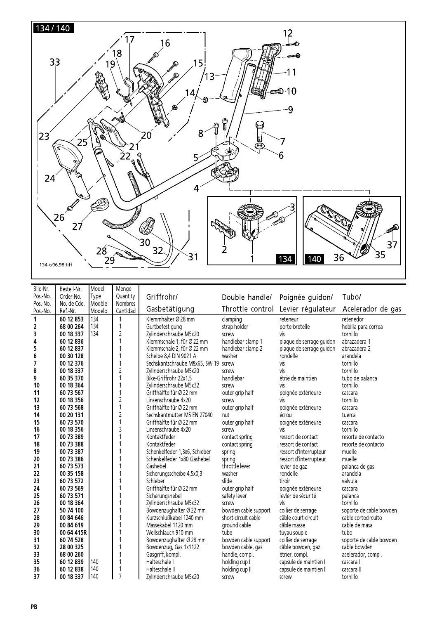

| Bild-Nr.                 | Bestell-Nr.             | Modell           | Menge                      |                                |                      |                          |                         |
|--------------------------|-------------------------|------------------|----------------------------|--------------------------------|----------------------|--------------------------|-------------------------|
| Pos.-No.                 | Order-No.               | Type             | Ouantity                   | Griffrohr/                     | Double handle/       | Poignée guidon/          | Tubo/                   |
| Pos.-No.<br>Pos.-No.     | No. de Cde.<br>Ref.-Nr. | Modèle<br>Modelo | <b>Nombres</b><br>Cantidad | Gasbetätigung                  | Throttle control     | Levier régulateur        | Acelerador de gas       |
| 1                        | 60 12 853               | 134              |                            | Klemmhalter Ø 28 mm            | clamping             | reteneur                 | retenedor               |
| $\overline{\mathbf{2}}$  | 68 00 264               | 134              |                            | Gurtbefestigung                | strap holder         | porte-bretelle           | hebilla para correa     |
| 3                        | 00 18 337               | 134              | $\overline{2}$             | Zylinderschraube M5x20         | screw                | vis                      | tornillo                |
| 4                        | 60 12 836               |                  |                            | Klemmschale 1, für Ø 22 mm     | handlebar clamp 1    | plaque de serrage quidon | abrazadera 1            |
|                          | 60 12 837               |                  |                            | Klemmschale 2, für Ø 22 mm     | handlebar clamp 2    | plaque de serrage guidon | abrazadera 2            |
| 5<br>6                   | 00 30 128               |                  |                            | Scheibe 8,4 DIN 9021 A         | washer               | rondelle                 | arandela                |
| $\overline{\phantom{a}}$ | 00 12 376               |                  |                            | Sechskantschraube M8x65, SW 19 | screw                | vis                      | tornillo                |
| 8                        | 00 18 337               |                  | $\overline{c}$             | Zylinderschraube M5x20         | screw                | vis                      | tornillo                |
| 9                        | 60 35 370               |                  | 1                          | Bike-Griffrohr 22x1.5          | handlebar            | étrie de maintien        | tubo de palanca         |
| 10                       | 00 18 364               |                  |                            | Zylinderschraube M5x32         | screw                | vis                      | tornillo                |
| 11                       | 60 73 567               |                  |                            | Griffhälfte für Ø 22 mm        | outer grip half      | poignée extérieure       | cascara                 |
| 12                       | 00 18 356               |                  | $\overline{2}$             | Linsenschraube 4x20            | screw                | νiς                      | tornillo                |
| 13                       | 60 73 568               |                  | 1                          | Griffhälfte für Ø 22 mm        | outer grip half      | poignée extérieure       | cascara                 |
| 14                       | 00 20 131               |                  | $\overline{c}$             | Sechskantmutter M5 EN 27040    | nut                  | écrou                    | tuerca                  |
| 15                       | 60 73 570               |                  | 1                          | Griffhälfte für Ø 22 mm        | outer grip half      | poignée extérieure       | cascara                 |
| 16                       | 00 18 356               |                  | 3                          | Linsenschraube 4x20            | screw                | vis                      | tornillo                |
| 17                       | 00 73 389               |                  |                            | Kontaktfeder                   | contact spring       | ressort de contact       | resorte de contacto     |
| 18                       | 00 73 388               |                  |                            | Kontaktfeder                   | contact spring       | ressort de contact       | resorte de contacto     |
| 19                       | 00 73 387               |                  |                            | Schenkelfeder 1,3x6, Schieber  | spring               | ressort d'interrupteur   | muelle                  |
| 20                       | 00 73 386               |                  |                            | Schenkelfeder 1x80 Gashebel    | spring               | ressort d'interrupteur   | muelle                  |
| 21                       | 60 73 573               |                  |                            | Gashebel                       | throttle lever       | levier de gaz            | palanca de gas          |
| 22                       | 00 35 158               |                  |                            | Sicherungsscheibe 4,5x0,3      | washer               | rondelle                 | arandela                |
| 23                       | 60 73 572               |                  |                            | Schieber                       | slide                | tiroir                   | valvula                 |
| 24                       | 60 73 569               |                  |                            | Griffhälfte für Ø 22 mm        | outer grip half      | poignée extérieure       | cascara                 |
| 25                       | 60 73 571               |                  |                            | Sicherungshebel                | safety lever         | levier de sécurité       | palanca                 |
| 26                       | 00 18 364               |                  |                            | Zylinderschraube M5x32         | screw                | vis                      | tornillo                |
| 27                       | 50 74 100               |                  |                            | Bowdenzughalter Ø 22 mm        | bowden cable support | collier de serrage       | soporte de cable bowden |
| 28                       | 00 84 646               |                  |                            | Kurzschlußkabel 1240 mm        | short-circuit cable  | câble court-circuit      | cable cortocircuito     |
| 29                       | 00 84 619               |                  |                            | Massekabel 1120 mm             | ground cable         | câble masse              | cable de masa           |
| 30                       | 00 64 415R              |                  |                            | Wellschlauch 910 mm            | tube                 | tuyau souple             | tubo                    |
| 31                       | 60 74 528               |                  |                            | Bowdenzughalter Ø 28 mm        | bowden cable support | collier de serrage       | soporte de cable bowden |
| 32                       | 28 00 325               |                  |                            | Bowdenzug, Gas 1x1122          | bowden cable, gas    | câble bowden, gaz        | cable bowden            |
| 33                       | 68 00 260               |                  |                            | Gasgriff, kompl.               | handle, compl.       | étrier, compl.           | acelerador, compl.      |
| 35                       | 60 12 839               | 140              | 1                          | Halteschale I                  | holding cup I        | capsule de maintien I    | cascara l               |
| 36                       | 60 12 838               | 140              |                            | Halteschale II                 | holding cup II       | capsule de maintien II   | cascara II              |
| 37                       | 00 18 337               | 140              | $\overline{7}$             | Zylinderschraube M5x20         | screw                | screw                    | tornillo                |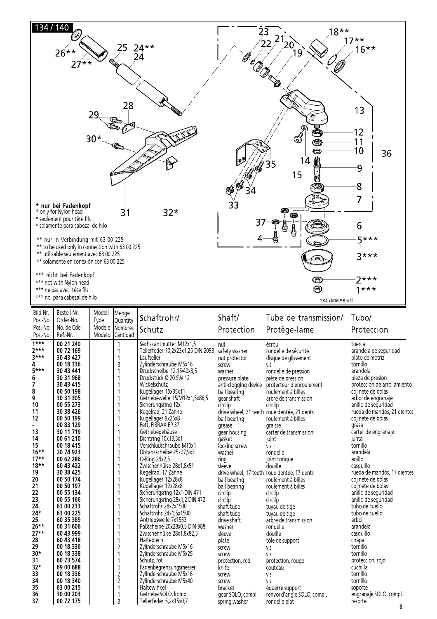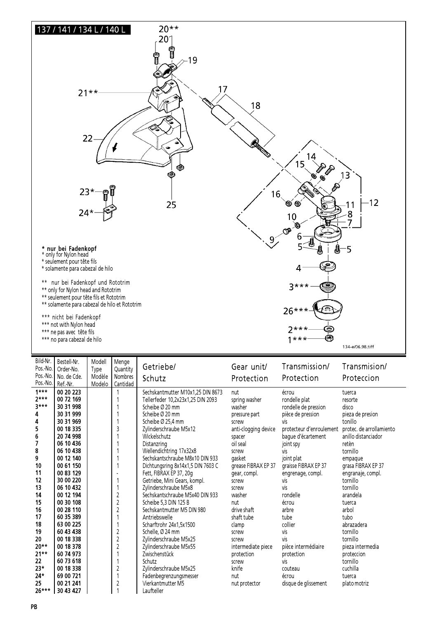

| Bild-Nr.<br>Pos.-No.<br>Pos.-No.<br>Pos.-No. | Bestell-Nr.<br>Order-No.<br>No. de Cde.<br>Ref.-Nr. | Modell<br>Type<br>Modèle<br>Modelo | Menge<br>Quantity<br>Nombres<br>Cantidad | Getriebe/<br>Schutz               | Gear unit/<br>Protection | Transmission/<br>Protection | Transmision/<br>Proteccion |
|----------------------------------------------|-----------------------------------------------------|------------------------------------|------------------------------------------|-----------------------------------|--------------------------|-----------------------------|----------------------------|
| $1***$                                       | 00 20 223                                           |                                    |                                          | Sechskantmutter M10x1,25 DIN 8673 | nut                      | écrou                       | tuerca                     |
| $2***$                                       | 00 72 169                                           |                                    |                                          | Tellerfeder 10,2x23x1,25 DIN 2093 | spring washer            | rondelle plat               | resorte                    |
| $3***$                                       | 30 31 998                                           |                                    |                                          | Scheibe Ø 20 mm                   | washer                   | rondelle de pression        | disco                      |
| 4                                            | 30 31 999                                           |                                    |                                          | Scheibe Ø 20 mm                   | pressure part            | pièce de pression           | pieza de presion           |
| 4                                            | 30 31 969                                           |                                    |                                          | Scheibe Ø 25,4 mm                 | screw                    | vis                         | tonillo                    |
| 5                                            | 00 18 335                                           |                                    | 3                                        | Zylinderschraube M5x12            | anti-clogging device     | protecteur d'enroulement    | protec, de arrollamiento   |
| 6                                            | 20 74 998                                           |                                    |                                          | Wickelschutz                      | spacer                   | bague d'écartement          | anillo distanciador        |
| $\overline{7}$                               | 06 10 436                                           |                                    |                                          | Distanzring                       | oil seal                 | joint spy                   | retèn                      |
| 8                                            | 06 10 438                                           |                                    |                                          | Wellendichtring 17x32x8           | screw                    | <b>VİS</b>                  | tornillo                   |
| 9                                            | 00 12 140                                           |                                    |                                          | Sechskantschraube M8x10 DIN 933   | gasket                   | joint plat                  | empaque                    |
| 10                                           | 00 61 150                                           |                                    |                                          | Dichtungsring 8x14x1,5 DIN 7603 C | grease FIBRAX EP 37      | graisse FIBRAX EP 37        | grasa FIBRAX EP 37         |
| 11                                           | 00 83 129                                           |                                    |                                          | Fett, FIBRAX EP 37, 20g           | gear, compl.             | engrenage, compl.           | engranaje, compl.          |
| 12                                           | 30 00 220                                           |                                    |                                          | Getriebe, Mini Gears, kompl.      | screw                    | <b>VİS</b>                  | tornillo                   |
| 13                                           | 06 10 432                                           |                                    |                                          | Zvlinderschraube M5x8             | screw                    | νiς                         | tornillo                   |
| 14                                           | 00 12 194                                           |                                    | 2                                        | Sechskantschraube M5x40 DIN 933   | washer                   | rondelle                    | arandela                   |
| 15                                           | 00 30 108                                           |                                    | $\overline{c}$                           | Scheibe 5,3 DIN 125 B             | nut                      | écrou                       | tuerca                     |
| 16                                           | 00 28 110                                           |                                    | $\overline{2}$                           | Sechskantmutter M5 DIN 980        | drive shaft              | arbre                       | arbol                      |
| 17                                           | 60 35 389                                           |                                    |                                          | Antriebswelle                     | shaft tube               | tube                        | tubo                       |
| 18                                           | 63 00 225                                           |                                    |                                          | Scharftrohr 24x1,5x1500           | clamp                    | collier                     | abrazadera                 |
| 19                                           | 60 43 438                                           |                                    | $\overline{2}$                           | Schelle, Ø 24 mm                  | screw                    | vis                         | tornillo                   |
| 20                                           | 00 18 338                                           |                                    | $\overline{c}$                           | Zylinderschraube M5x25            | screw                    | vis                         | tornillo                   |
| $20**$                                       | 00 18 378                                           |                                    | $\overline{2}$                           | Zylinderschraube M5x55            | intermediate piece       | pièce intermédiaire         | pieza intermedia           |
| $21**$                                       | 60 74 973                                           |                                    |                                          | Zwischenstück                     | protection               | protection                  | proteccion                 |
| 22                                           | 60 73 618                                           |                                    |                                          | Schutz                            | screw                    | vis                         | tornillo                   |
| $23*$                                        | 00 18 338                                           |                                    | 2                                        | Zylinderschraube M5x25            | knife                    | couteau                     | cuchilla                   |
| $24*$                                        | 69 00 721                                           |                                    |                                          | Fadenbegrenzungsmesser            | nut                      | écrou                       | tuerca                     |
| 25                                           | 00 21 241                                           |                                    | $\overline{\mathbf{c}}$                  | Vierkantmutter M5                 | nut protector            | disque de glissement        | plato motriz               |
| $26***$                                      | 30 43 427                                           |                                    |                                          | Laufteller                        |                          |                             |                            |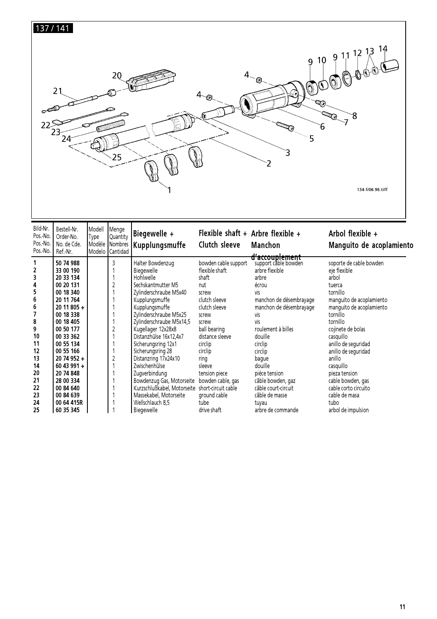## 137 / 141 9 10 9 11 12 13 14 20  $\overline{\mathbf{r}}$ 肏  $\mathbb{Q}_{\mathbb{Q}}$  $21$  $4\degree$ Q.  $\epsilon$  $\frac{1}{6}$  $\mathbf{8}$  $22\frac{6}{23}$ <br>24  $6\overline{6}$ V  $\circledR$  $\overline{5}$  $\mathbb{Z}$ 3 V  $25$ J  $\mathbf{2}$ 134-f/06.98.tiff

| Bild-Nr.<br>Pos.-No.<br>Pos.-No.<br>Pos.-No. | Bestell-Nr.<br>Order-No.<br>No. de Cde.<br>Ref.-Nr. | <b>I</b> Modell<br> Type | Menge<br>Quantity<br>Modèle Nombres<br>Modelo Cantidad | Biegewelle +<br>Kupplungsmuffe                  | Flexible shaft + Arbre flexible +<br>Clutch sleeve | <b>Manchon</b><br><del>d'accouplement</del> | Arbol flexible +<br>Manguito de acoplamiento |
|----------------------------------------------|-----------------------------------------------------|--------------------------|--------------------------------------------------------|-------------------------------------------------|----------------------------------------------------|---------------------------------------------|----------------------------------------------|
|                                              | 50 74 988                                           |                          | 3                                                      | Halter Bowdenzug                                | bowden cable support                               | support cable bowden                        | soporte de cable bowden                      |
|                                              | 33 00 190                                           |                          |                                                        | Biegewelle                                      | flexible shaft                                     | arbre flexible                              | eje flexible                                 |
| $\frac{2}{3}$                                | 20 33 134                                           |                          |                                                        | Hohlwelle                                       | shaft                                              | arbre                                       | arbol                                        |
| 4                                            | 00 20 131                                           |                          | $\overline{2}$                                         | Sechskantmutter M5                              | nut                                                | écrou                                       | tuerca                                       |
| 5                                            | 00 18 340                                           |                          |                                                        | Zylinderschraube M5x40                          | screw                                              | vis                                         | tornillo                                     |
| 6                                            | 20 11 764                                           |                          |                                                        | Kupplungsmuffe                                  | clutch sleeve                                      | manchon de désembrayage                     | manguito de acoplamiento                     |
| 6                                            | 20 11 805 +                                         |                          |                                                        | Kupplungsmuffe                                  | clutch sleeve                                      | manchon de désembrayage                     | manguito de acoplamiento                     |
| 7                                            | 00 18 338                                           |                          |                                                        | Zylinderschraube M5x25                          | screw                                              | <b>VIS</b>                                  | tornillo                                     |
| 8                                            | 00 18 405                                           |                          |                                                        | Zylinderschraube M5x14,5                        | screw                                              | vis                                         | tornillo                                     |
| 9                                            | 00 50 177                                           |                          |                                                        | Kugellager 12x28x8                              | ball bearing                                       | roulement à billes                          | cojinete de bolas                            |
| 10                                           | 00 33 362                                           |                          |                                                        | Distanzhülse 16x12,4x7                          | distance sleeve                                    | douille                                     | casquillo                                    |
| 11                                           | 00 55 134                                           |                          |                                                        | Sicherungsring 12x1                             | circlip                                            | circlip                                     | anillo de seguridad                          |
| 12                                           | 00 55 166                                           |                          |                                                        | Sicherungsring 28                               | circlip                                            | circlip                                     | anillo de seguridad                          |
| 13                                           | 20 74 952 +                                         |                          |                                                        | Distanzring 17x24x10                            | ring                                               | bague                                       | anillo                                       |
| 14                                           | 60 43 991 +                                         |                          |                                                        | Zwischenhülse                                   | sleeve                                             | douille                                     | casquillo                                    |
| 20                                           | 20 74 848                                           |                          |                                                        | Zugverbindung                                   | tension piece                                      | piéce tension                               | pieza tension                                |
| 21                                           | 28 00 334                                           |                          |                                                        | Bowdenzug Gas, Motorseite                       | bowden cable, gas                                  | câble bowden, gaz                           | cable bowden, gas                            |
| 22                                           | 00 84 640                                           |                          |                                                        | Kurzschlußkabel, Motorseite short-circuit cable |                                                    | câble court-circuit                         | cable corto circuito                         |
| 23                                           | 00 84 639                                           |                          |                                                        | Massekabel, Motorseite                          | ground cable                                       | câble de masse                              | cable de masa                                |
| 24                                           | 00 64 415R                                          |                          |                                                        | Wellschlauch 8,5                                | tube                                               | tuyau                                       | tubo                                         |
| 25                                           | 60 35 345                                           |                          |                                                        | Biegewelle                                      | drive shaft                                        | arbre de commande                           | arbol de impulsion                           |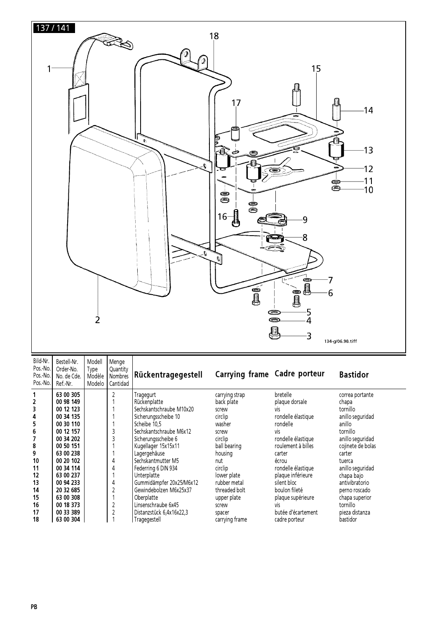

| Bild-Nr.<br>Pos.-No.<br>Pos.-No.<br>Pos.-No.                                                                                  | Bestell-Nr.<br>Order-No.<br>No. de Cde.<br>Ref.-Nr.                                                                                                                                                                                    | Modell<br>Type<br>Modèle<br>Modelo | Menge<br>Quantity<br><b>Nombres</b><br>Cantidad           | Rückentragegestell                                                                                                                                                                                                                                                                                                                                                                        | Carrying frame Cadre porteur                                                                                                                                                                                                    |                                                                                                                                                                                                                                                                                         | <b>Bastidor</b>                                                                                                                                                                                                                                                              |
|-------------------------------------------------------------------------------------------------------------------------------|----------------------------------------------------------------------------------------------------------------------------------------------------------------------------------------------------------------------------------------|------------------------------------|-----------------------------------------------------------|-------------------------------------------------------------------------------------------------------------------------------------------------------------------------------------------------------------------------------------------------------------------------------------------------------------------------------------------------------------------------------------------|---------------------------------------------------------------------------------------------------------------------------------------------------------------------------------------------------------------------------------|-----------------------------------------------------------------------------------------------------------------------------------------------------------------------------------------------------------------------------------------------------------------------------------------|------------------------------------------------------------------------------------------------------------------------------------------------------------------------------------------------------------------------------------------------------------------------------|
| $\overline{\mathbf{2}}$<br>3<br>4<br>5<br>6<br>$\overline{7}$<br>8<br>9<br>10<br>11<br>12<br>13<br>14<br>15<br>16<br>17<br>18 | 63 00 305<br>00 98 149<br>00 12 123<br>00 34 135<br>00 30 110<br>00 12 157<br>00 34 202<br>00 50 151<br>63 00 238<br>00 20 102<br>00 34 114<br>63 00 237<br>00 94 233<br>20 32 685<br>63 00 308<br>00 18 373<br>00 33 389<br>63 00 304 |                                    | $\overline{2}$<br>3<br>4<br>4<br>2<br>2<br>$\overline{2}$ | Tragegurt<br>Rückenplatte<br>Sechskantschraube M10x20<br>Sicherungsscheibe 10<br>Scheibe 10.5<br>Sechskantschraube M6x12<br>Sicherungsscheibe 6<br>Kugellager 15x15x11<br>Lagergehäuse<br>Sechskantmutter M5<br>Federring 6 DIN 934<br>Unterplatte<br>Gummidämpfer 20x25/M6x12<br>Gewindebolzen M6x25x37<br>Oberplatte<br>Linsenschraube 6x45<br>Distanzstück 6,4x16x22,3<br>Tragegestell | carrying strap<br>back plate<br>screw<br>circlip<br>washer<br>screw<br>circlip<br>ball bearing<br>housing<br>nut<br>circlip<br>lower plate<br>rubber metal<br>threaded bolt<br>upper plate<br>screw<br>spacer<br>carrying frame | bretelle<br>plaque dorsale<br>VIS<br>rondelle élastique<br>rondelle<br>vis<br>rondelle élastique<br>roulement à billes<br>carter<br>écrou<br>rondelle élastique<br>plaque inférieure<br>silent bloc<br>boulon fileté<br>plaque supérieure<br>νiς<br>butée d'écartement<br>cadre porteur | correa portante<br>chapa<br>tornillo<br>anillo seguridad<br>anillo<br>tornillo<br>anillo seguridad<br>cojinete de bolas<br>carter<br>tuerca<br>anillo seguridad<br>chapa bajo<br>antivibratorio<br>perno roscado<br>chapa superior<br>tornillo<br>pieza distanza<br>bastidor |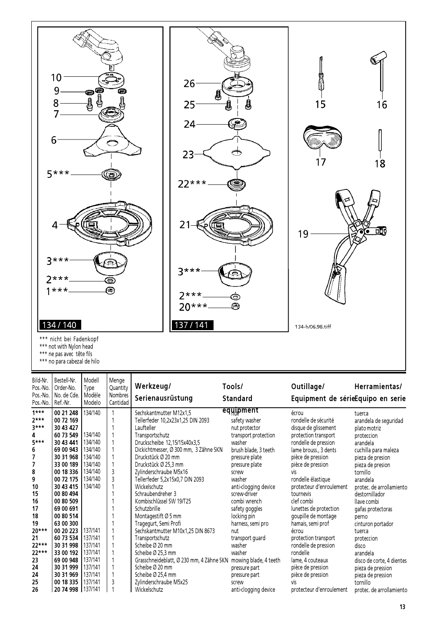

- 
- \*\*\* not with Nylon head
- \*\*\* ne pas avec tête fils
- \*\*\* no para cabezal de hilo

| Bild-Nr.<br>Pos.-No.<br>Pos.-No.<br>Pos.-No. | Bestell-Nr.<br>Order-No.<br>No. de Cde.<br>Ref.-Nr. | Modell<br>Type<br>Modèle<br>Modelo | Menge<br>Ouantity<br>Nombres<br>Cantidad | Werkzeug/<br>Serienausrüstung                                  | Tools/<br><b>Standard</b> | Outillage/<br>Equipment de sérieEquipo en serie | Herramientas/             |
|----------------------------------------------|-----------------------------------------------------|------------------------------------|------------------------------------------|----------------------------------------------------------------|---------------------------|-------------------------------------------------|---------------------------|
| $1***$                                       | 00 21 248                                           | 134/140                            |                                          | Sechskantmutter M12x1,5                                        | equipment                 | écrou                                           | tuerca                    |
| $7***$                                       | 00 72 169                                           |                                    |                                          | Tellerfeder 10,2x23x1,25 DIN 2093                              | safety washer             | rondelle de sécurité                            | arandela de seguridad     |
| $7***$                                       | 30 43 427                                           |                                    |                                          | Laufteller                                                     | nut protector             | disque de glissement                            | plato motriz              |
| 4                                            | 60 73 549                                           | 134/140                            |                                          | Transportschutz                                                | transport protection      | protection transport                            | proteccion                |
| $5***$                                       | 30 43 441                                           | 134/140                            |                                          | Druckscheibe 12,15/15x40x3,5                                   | washer                    | rondelle de pression                            | arandela                  |
| 6                                            | 69 00 943                                           | 134/140                            |                                          | Dickichtmesser, Ø 300 mm, 3 Zähne SKN                          | brush blade, 3 teeth      | lame brouss., 3 dents                           | cuchilla para maleza      |
| 7                                            | 30 31 968                                           | 134/140                            |                                          | Druckstück Ø 20 mm                                             | pressure plate            | pièce de pression                               | pieza de presion          |
| $\overline{7}$                               | 33 00 189                                           | 134/140                            |                                          | Druckstück Ø 25,3 mm                                           | pressure plate            | pièce de pression                               | pieza de presion          |
| 8                                            | 00 18 336                                           | 134/140                            | 3                                        | Zylinderschraube M5x16                                         | screw                     | <b>VIS</b>                                      | tornillo                  |
| 9                                            | 00 72 175                                           | 134/140                            | 3                                        | Tellerfeder 5,2x15x0,7 DIN 2093                                | washer                    | rondelle élastique                              | arandela                  |
| 10                                           | 30 43 415                                           | 134/140                            |                                          | Wickelschutz                                                   | anti-clogging device      | protecteur d'enroulement                        | protec. de arrollamiento  |
| 15                                           | 00 80 494                                           |                                    |                                          | Schraubendreher 3                                              | screw-driver              | tournevis                                       | destornillador            |
| 16                                           | 00 80 509                                           |                                    |                                          | Kombischlüssel SW 19/T25                                       | combi wrench              | clef combi                                      | llave combi               |
| 17                                           | 69 00 691                                           |                                    |                                          | Schutzbrille                                                   | safety goggles            | lunettes de protection                          | gafas protectoras         |
| 18                                           | 00 80 514                                           |                                    |                                          | Montagestift Ø 5 mm                                            | locking pin               | goupille de montage                             | perno                     |
| 19                                           | 63 00 300                                           |                                    |                                          | Tragegurt, Semi Profi                                          | harness, semi pro         | hamais, semi prof                               | cinturon portador         |
| $20***$                                      | 00 20 223                                           | 137/141                            |                                          | Sechskantmutter M10x1,25 DIN 8673                              | nut                       | écrou                                           | tuerca                    |
| 21                                           | 60 73 534                                           | 137/141                            |                                          | Transportschutz                                                | transport quard           | protection transport                            | proteccion                |
| $22***$                                      | 30 31 998                                           | 137/141                            |                                          | Scheibe Ø 20 mm                                                | washer                    | rondelle de pression                            | disco                     |
| $22***$                                      | 33 00 192                                           | 137/141                            |                                          | Scheibe Ø 25,3 mm                                              | washer                    | rondelle                                        | arandela                  |
| 23                                           | 69 00 948                                           | 137/141                            |                                          | Grasschneideblatt, Ø 230 mm, 4 Zähne SKN mowing blade, 4 teeth |                           | lame, 4 couteaux                                | disco de corte, 4 dientes |
| 24                                           | 30 31 999                                           | 137/141                            |                                          | Scheibe Ø 20 mm                                                | pressure part             | pièce de pression                               | pieza de pression         |
| 24                                           | 30 31 969                                           | 137/141                            |                                          | Scheibe Ø 25,4 mm                                              | pressure part             | pièce de pression                               | pieza de pression         |
| 25                                           | 00 18 335                                           | 137/141                            | 3                                        | Zylinderschraube M5x25                                         | screw                     | <b>VIS</b>                                      | tornillo                  |
| 26                                           | 20 74 998 137/141                                   |                                    |                                          | Wickelschutz                                                   | anti-clogging device      | protecteur d'enroulement                        | protec. de arrollamiento  |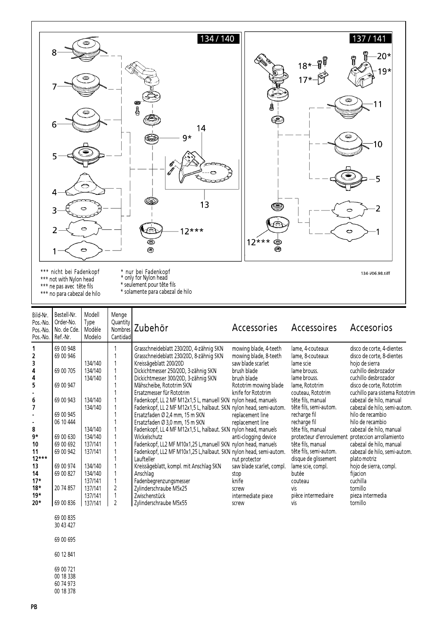

| Pos.-No. | Ref.-Nr.               | Modelo  | Cantidadl |                                                                                                              |                                                                     |                                                   |                                                                          |
|----------|------------------------|---------|-----------|--------------------------------------------------------------------------------------------------------------|---------------------------------------------------------------------|---------------------------------------------------|--------------------------------------------------------------------------|
|          | 69 00 948<br>69 00 946 | 134/140 |           | Grasschneideblatt 230/20D, 4-zähnig SKN<br>Grasschneideblatt 230/20D, 8-zähnig SKN<br>Kreissägeblatt 200/20D | mowing blade, 4-teeth<br>mowing blade, 8-teeth<br>saw blade scarlet | lame, 4-couteaux<br>lame, 8-couteaux<br>lame scie | disco de corte, 4-dientes<br>disco de corte, 8-dientes<br>hojo de sierra |
|          | 69 00 705              | 134/140 |           | Dickichtmesser 250/20D, 3-zähnig SKN                                                                         | brush blade                                                         | lame brouss.                                      | cuchillo desbrozador                                                     |
|          |                        | 134/140 |           | Dickichtmesser 300/20D, 3-zähnig SKN                                                                         | brush blade                                                         | lame brouss.                                      | cuchillo desbrozador                                                     |
| 5        | 69 00 947              |         |           | Mähscheibe, Rototrim SKN                                                                                     | Rototrim mowing blade                                               | lame, Rototrim                                    | disco de corte, Rototrim                                                 |
|          |                        |         |           | Ersatzmesser für Rototrim                                                                                    | knife for Rototrim                                                  | couteau, Rototrim                                 | cuchillo para sistema Rototrim                                           |
| 6        | 69 00 943              | 134/140 |           | Fadenkopf, LL 2 MF M12x1,5 L, manuell SKN nylon head, manuels                                                |                                                                     | tête fils, manual                                 | cabezal de hilo, manual                                                  |
|          |                        | 134/140 |           | Fadenkopf, LL 2 MF M12x1,5 L, halbaut. SKN nylon head, semi-autom.                                           |                                                                     | tête fils, semi-autom.                            | cabezal de hilo, semi-autom.                                             |
|          | 69 00 945              |         |           | Ersatzfaden Ø 2,4 mm, 15 m SKN                                                                               | replacement line                                                    | recharge fil                                      | hilo de recambio                                                         |
|          | 06 10 444              |         |           | Ersatzfaden Ø 3,0 mm, 15 m SKN                                                                               | replacement line                                                    | recharge fil                                      | hilo de recambio                                                         |
| 8        |                        | 134/140 |           | Fadenkopf, LL 4 MF M12x1,5 L, halbaut. SKN nylon head, manuels                                               |                                                                     | tête fils, manual                                 | cabezal de hilo, manual                                                  |
| g*       | 69 00 630              | 134/140 |           | Wickelschutz                                                                                                 | anti-clogging device                                                | protecteur d'enroulement proteccion arrollamiento |                                                                          |
| 10       | 69 00 692              | 137/141 |           | Fadenkopf, LL2 MF M10x1,25 L, manuell SKN nylon head, manuels                                                |                                                                     | tête fils, manual                                 | cabezal de hilo, manual                                                  |
| 11       | 69 00 942              | 137/141 |           | Fadenkopf, LL2 MF M10x1,25 L,halbaut. SKN nylon head, semi-autom.                                            |                                                                     | tête fils, semi-autom.                            | cabezal de hilo, semi-autom.                                             |
| $12***$  |                        |         |           | Laufteller                                                                                                   | nut protector                                                       | disque de glissement                              | plato motriz                                                             |
| 13       | 69 00 974              | 134/140 |           | Kreissägeblatt, kompl. mit Anschlag SKN                                                                      | saw blade scarlet, compl.                                           | lame scie, compl.                                 | hojo de sierra, compl.                                                   |
| 14       | 69 00 827              | 134/140 |           | Anschlag                                                                                                     | stop                                                                | butée                                             | fijacion                                                                 |
| $17*$    |                        | 137/141 |           | Fadenbegrenzungsmesser                                                                                       | knife                                                               | couteau                                           | cuchilla                                                                 |
| $18*$    | 20 74 857              | 137/141 | 2         | Zylinderschraube M5x25                                                                                       | screw                                                               | vis                                               | tornillo                                                                 |
| $19*$    |                        | 137/141 |           | Zwischenstück                                                                                                | intermediate piece                                                  | pièce intermediaire                               | pieza intermedia                                                         |
| $20*$    | 69 00 836              | 137/141 |           | Zylinderschraube M5x55                                                                                       | screw                                                               | VIS                                               | tornillo                                                                 |

69 00 835 30 43 427

69 00 695

60 12 841

69 00 721

00 18 338 60 74 973

00 18 378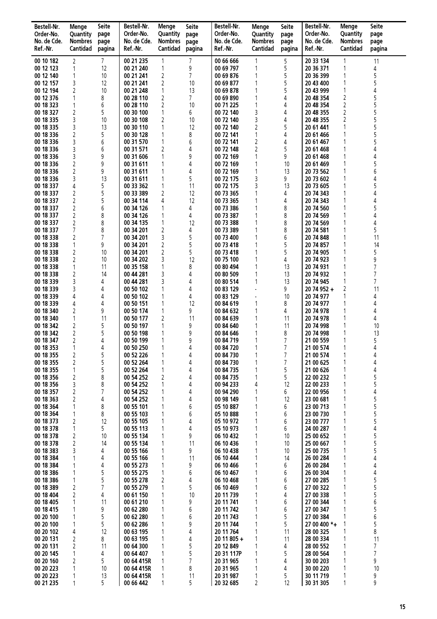| Bestell-Nr.<br>Order-No.<br>No. de Cde.<br>Ref.-Nr. | Menge<br>Quantity<br><b>Nombres</b><br>Cantidad | Seite<br>page<br>page<br>pagina | Bestell-Nr.<br>Order-No.<br>No. de Cde.<br>Ref.-Nr. | Menge<br>Quantity<br><b>Nombres</b><br>Cantidad | Seite<br>page<br>page<br>pagina | Bestell-Nr.<br>Order-No.<br>No. de Cde.<br>Ref.-Nr. | Menge<br>Quantity<br><b>Nombres</b><br>Cantidad | Seite<br>page<br>page<br>pagina | Bestell-Nr.<br>Order-No.<br>No. de Cde.<br>Ref.-Nr. | Menge<br>Quantity<br><b>Nombres</b><br>Cantidad | Seite<br>page<br>page<br>pagina |  |
|-----------------------------------------------------|-------------------------------------------------|---------------------------------|-----------------------------------------------------|-------------------------------------------------|---------------------------------|-----------------------------------------------------|-------------------------------------------------|---------------------------------|-----------------------------------------------------|-------------------------------------------------|---------------------------------|--|
| 00 10 182                                           | 2                                               | $\overline{7}$                  | 00 21 235                                           | 1                                               | 7                               | 00 66 666                                           | 1                                               | 5                               | 20 33 134                                           | 1                                               | 11                              |  |
| 00 12 123                                           | 1                                               | 12                              | 00 21 240                                           |                                                 | 9                               | 00 69 797                                           | 1                                               | 5                               | 20 36 371                                           | 1                                               | 4                               |  |
| 00 12 140                                           | $\mathbf{1}$                                    | 10                              | 00 21 241                                           | 2                                               | $\overline{7}$                  | 00 69 876                                           | 1                                               | 5                               | 20 36 399                                           | 1                                               | 5                               |  |
| 00 12 157                                           | 3                                               | 12                              | 00 21 241                                           | $\overline{2}$                                  | 10                              | 00 69 877                                           | 1                                               | 5                               | 20 43 400                                           | 1                                               | 5                               |  |
| 00 12 194                                           | $\overline{c}$                                  | 10                              | 00 21 248                                           |                                                 | 13                              | 00 69 878                                           | 1                                               | 5                               | 20 43 999                                           | 1                                               | 4                               |  |
| 00 12 376                                           | $\mathbf{1}$                                    | 8                               | 00 28 110                                           | 2                                               | $\overline{7}$                  | 00 69 890                                           | 1                                               | 4                               | 20 48 354                                           | $\overline{c}$                                  | 5                               |  |
| 00 18 323                                           | 1                                               | 6                               | 00 28 110                                           | 2                                               | 10                              | 00 71 225                                           | 1                                               | 4                               | 20 48 354                                           | $\overline{2}$                                  | 5                               |  |
| 00 18 327                                           | $\overline{2}$                                  | 5                               | 00 30 100                                           |                                                 | 6                               | 00 72 140                                           | 3                                               | 4                               | 20 48 355                                           | $\overline{2}$                                  | 5                               |  |
| 00 18 335                                           | 3                                               | 10                              | 00 30 108                                           | $\overline{2}$                                  | 10                              | 00 72 140                                           | 3                                               | 4                               | 20 48 355                                           | $\overline{2}$                                  | 5                               |  |
| 00 18 335                                           | 3                                               | 13                              | 00 30 110                                           |                                                 | 12                              | 00 72 140                                           | $\overline{c}$                                  | 5                               | 20 61 441                                           | 1                                               | 5                               |  |
| 00 18 336                                           | $\overline{c}$                                  | 5                               | 00 30 128                                           |                                                 | 8                               | 00 72 141                                           | 1                                               | 4                               | 20 61 466                                           | 1                                               | 5                               |  |
| 00 18 336<br>00 18 336                              | 3<br>3                                          | 6<br>6                          | 00 31 570<br>00 31 571                              | 1<br>$\overline{2}$                             | 6<br>4                          | 00 72 141<br>00 72 148                              | $\overline{c}$<br>$\overline{c}$                | 4<br>5                          | 20 61 467<br>20 61 468                              |                                                 | 5<br>4                          |  |
| 00 18 336                                           | 3                                               | 9                               | 00 31 606                                           |                                                 | 9                               | 00 72 169                                           | 1                                               | 9                               | 20 61 468                                           |                                                 | 4                               |  |
| 00 18 336                                           | 2                                               | 9                               | 00 31 611                                           |                                                 | 4                               | 00 72 169                                           | 1                                               | 10                              | 20 61 469                                           | 1                                               | 5                               |  |
| 00 18 336                                           | $\overline{2}$                                  | 9                               | 00 31 611                                           |                                                 | 4                               | 00 72 169                                           | 1                                               | 13                              | 20 73 562                                           |                                                 | 6                               |  |
| 00 18 336                                           | 3                                               | 13                              | 00 31 611                                           |                                                 | 5                               | 00 72 175                                           | 3                                               | 9                               | 20 73 602                                           |                                                 | 4                               |  |
| 00 18 337                                           | 4                                               | 5                               | 00 33 362                                           | 1                                               | 11                              | 00 72 175                                           | 3                                               | 13                              | 20 73 605                                           | 1                                               | 5                               |  |
| 00 18 337                                           | 2                                               | 5                               | 00 33 389                                           | $\overline{2}$                                  | 12                              | 00 73 365                                           |                                                 | 4                               | 20 74 343                                           |                                                 | 4                               |  |
| 00 18 337                                           | 2                                               | 5                               | 00 34 114                                           | 4                                               | 12                              | 00 73 365                                           | 1                                               | 4                               | 20 74 343                                           |                                                 | 4                               |  |
| 00 18 337                                           | 2                                               | 6                               | 00 34 126                                           |                                                 | 4                               | 00 73 386                                           | 1                                               | 8                               | 20 74 560                                           |                                                 | 5                               |  |
| 00 18 337                                           | $\overline{c}$                                  | 8                               | 00 34 126                                           |                                                 | 4                               | 00 73 387                                           | 1                                               | 8                               | 20 74 569                                           |                                                 | 4                               |  |
| 00 18 337<br>00 18 337                              | $\overline{c}$<br>$\overline{7}$                | 8<br>8                          | 00 34 135<br>00 34 201                              | 2                                               | 12<br>4                         | 00 73 388<br>00 73 389                              | 1<br>1                                          | 8<br>8                          | 20 74 569<br>20 74 581                              |                                                 | 4<br>5                          |  |
| 00 18 338                                           | 2                                               | $\overline{7}$                  | 00 34 201                                           | 3                                               | 5                               | 00 73 400                                           |                                                 | 6                               | 20 74 848                                           |                                                 | 11                              |  |
| 00 18 338                                           | $\mathbf{1}$                                    | 9                               | 00 34 201                                           | 2                                               | 5                               | 00 73 418                                           | 1                                               | 5                               | 20 74 857                                           |                                                 | 14                              |  |
| 00 18 338                                           | 2                                               | 10                              | 00 34 201                                           | $\overline{2}$                                  | 5                               | 00 73 418                                           | 1                                               | 5                               | 20 74 905                                           |                                                 | 5                               |  |
| 00 18 338                                           | $\overline{2}$                                  | 10                              | 00 34 202                                           | 3                                               | 12                              | 00 75 100                                           | 1                                               | 4                               | 20 74 923                                           |                                                 | 9                               |  |
| 00 18 338                                           | $\mathbf{1}$                                    | 11                              | 00 35 158                                           | 1                                               | 8                               | 00 80 494                                           | 1                                               | 13                              | 20 74 931                                           |                                                 | $\overline{7}$                  |  |
| 00 18 338                                           | 2                                               | 14                              | 00 44 281                                           | 3                                               | 4                               | 00 80 509                                           | 1                                               | 13                              | 20 74 932                                           |                                                 | $\overline{7}$                  |  |
| 00 18 339                                           | 3                                               | 4                               | 00 44 281                                           | 3                                               | 4                               | 00 80 514                                           | 1                                               | 13                              | 20 74 945                                           |                                                 | $\overline{7}$                  |  |
| 00 18 339                                           | 3                                               | 4                               | 00 50 102                                           |                                                 | 4                               | 00 83 129                                           | ÷,                                              | 9                               | 20 74 952 +                                         | 2                                               | 11                              |  |
| 00 18 339                                           | 4<br>4                                          | 4<br>4                          | 00 50 102                                           |                                                 | 4<br>12                         | 00 83 129<br>00 84 619                              | $\overline{\phantom{a}}$<br>1                   | 10                              | 20 74 977<br>20 74 977                              |                                                 | 4<br>4                          |  |
| 00 18 339<br>00 18 340                              | 2                                               | 9                               | 00 50 151<br>00 50 174                              |                                                 | 9                               | 00 84 632                                           | 1                                               | 8<br>4                          | 20 74 978                                           |                                                 | 4                               |  |
| 00 18 340                                           | $\mathbf{1}$                                    | 11                              | 00 50 177                                           | 2                                               | 11                              | 00 84 639                                           | 1                                               | 11                              | 20 74 978                                           |                                                 | 4                               |  |
| 00 18 342                                           | 2                                               | 5                               | 00 50 197                                           |                                                 | 9                               | 00 84 640                                           | 1                                               | 11                              | 20 74 998                                           |                                                 | 10                              |  |
| 00 18 342                                           | 2                                               | 5                               | 00 50 198                                           |                                                 | 9                               | 00 84 646                                           | 1                                               | 8                               | 20 74 998                                           |                                                 | 13                              |  |
| 00 18 347                                           | $\overline{2}$                                  | 4                               | 00 50 199                                           | 1                                               | 9                               | 00 84 719                                           | 1                                               | $\overline{7}$                  | 21 00 559                                           | 1                                               | 5                               |  |
| 00 18 353                                           |                                                 | 4                               | 00 50 250                                           |                                                 | 4                               | 00 84 720                                           |                                                 |                                 | 21 00 574                                           |                                                 | 4                               |  |
| 00 18 355                                           | 2                                               | 5                               | 00 52 226                                           |                                                 | 4                               | 00 84 730                                           |                                                 |                                 | 21 00 574                                           |                                                 | 4                               |  |
| 00 18 355                                           | $\overline{c}$                                  | 5                               | 00 52 264                                           |                                                 | 4                               | 00 84 730                                           | 1                                               | 7                               | 21 00 625                                           |                                                 |                                 |  |
| 00 18 355<br>00 18 356                              | 1<br>$\overline{c}$                             | 5<br>8                          | 00 52 264<br>00 54 252                              | 2                                               | 4                               | 00 84 735<br>00 84 735                              |                                                 | 5<br>5                          | 21 00 626<br>22 00 232                              |                                                 | 4<br>5                          |  |
| 00 18 356                                           | 3                                               | 8                               | 00 54 252                                           |                                                 | 4<br>4                          | 00 94 233                                           | 4                                               | 12                              | 22 00 233                                           |                                                 | 5                               |  |
| 00 18 357                                           | 2                                               | $\overline{7}$                  | 00 54 252                                           |                                                 | 4                               | 00 94 290                                           |                                                 | 6                               | 22 00 956                                           |                                                 | 4                               |  |
| 00 18 363                                           | 2                                               | 4                               | 00 54 252                                           |                                                 | 4                               | 00 98 149                                           |                                                 | 12                              | 23 00 681                                           |                                                 | 5                               |  |
| 00 18 364                                           | 1                                               | 8                               | 00 55 101                                           |                                                 | 6                               | 05 10 887                                           |                                                 | 6                               | 23 00 713                                           |                                                 | 5                               |  |
| 00 18 364                                           | 1                                               | 8                               | 00 55 103                                           |                                                 | 6                               | 05 10 888                                           |                                                 | 6                               | 23 00 730                                           |                                                 | 5                               |  |
| 00 18 373                                           | 2                                               | 12                              | 00 55 105                                           |                                                 | 4                               | 05 10 972                                           |                                                 | 6                               | 23 00 777                                           |                                                 | 5                               |  |
| 00 18 378                                           | $\mathbf{1}$                                    | 5                               | 00 55 113                                           |                                                 | 4                               | 05 10 973                                           | 1                                               | 6                               | 24 00 287                                           |                                                 | 4                               |  |
| 00 18 378                                           | 2                                               | 10<br>14                        | 00 55 134                                           |                                                 | 9<br>11                         | 06 10 432                                           |                                                 | 10                              | 25 00 652                                           |                                                 | 5<br>5                          |  |
| 00 18 378<br>00 18 383                              | 2<br>3                                          | 4                               | 00 55 134<br>00 55 166                              |                                                 | 9                               | 06 10 436<br>06 10 438                              |                                                 | 10<br>10                        | 25 00 667<br>25 00 735                              |                                                 | 5                               |  |
| 00 18 384                                           |                                                 | 4                               | 00 55 166                                           |                                                 | 11                              | 06 10 444                                           |                                                 | 14                              | 26 00 284                                           |                                                 | 4                               |  |
| 00 18 384                                           |                                                 | 4                               | 00 55 273                                           |                                                 | 9                               | 06 10 466                                           |                                                 | 6                               | 26 00 284                                           |                                                 | 4                               |  |
| 00 18 386                                           | 1                                               | 5                               | 00 55 275                                           |                                                 | 6                               | 06 10 467                                           | 1                                               | 6                               | 26 00 304                                           |                                                 | 4                               |  |
| 00 18 386                                           | 1                                               | 5                               | 00 55 278                                           | 2                                               | 4                               | 06 10 468                                           |                                                 | 6                               | 27 00 285                                           |                                                 | 5                               |  |
| 00 18 389                                           | 2                                               | 7                               | 00 55 279                                           |                                                 | 5                               | 06 10 469                                           |                                                 | 6                               | 27 00 322                                           |                                                 | 5                               |  |
| 00 18 404                                           | 2                                               | 4                               | 00 61 150                                           |                                                 | 10                              | 20 11 739                                           |                                                 | 4                               | 27 00 338                                           |                                                 | 5                               |  |
| 00 18 405                                           |                                                 | 11                              | 00 61 210                                           |                                                 | 9                               | 20 11 741                                           |                                                 | 6                               | 27 00 344                                           |                                                 | 6                               |  |
| 00 18 415<br>00 20 100                              | 1                                               | 9<br>5                          | 00 62 280<br>00 62 280                              |                                                 | 6<br>6                          | 20 11 742<br>20 11 743                              |                                                 | 6<br>5                          | 27 00 347<br>27 00 384                              |                                                 | 5<br>6                          |  |
| 00 20 100                                           | 1                                               | 5                               | 00 62 286                                           |                                                 | 9                               | 20 11 744                                           |                                                 | 5                               | 27 00 400 *+                                        |                                                 | 5                               |  |
| 00 20 102                                           | 4                                               | 12                              | 00 63 195                                           |                                                 | 4                               | 20 11 764                                           |                                                 | 11                              | 28 00 325                                           |                                                 | 8                               |  |
| 00 20 131                                           | $\overline{c}$                                  | 8                               | 00 63 195                                           |                                                 | 4                               | 20 11 805 +                                         |                                                 | 11                              | 28 00 334                                           |                                                 | 11                              |  |
| 00 20 131                                           | 2                                               | 11                              | 00 64 300                                           |                                                 | 5                               | 20 12 849                                           |                                                 | 4                               | 28 00 552                                           |                                                 | 7                               |  |
| 00 20 145                                           | 1                                               | 4                               | 00 64 407                                           |                                                 | 5                               | 20 31 117P                                          |                                                 | 5                               | 28 00 564                                           |                                                 | 7                               |  |
| 00 20 160                                           | 2                                               | 5                               | 00 64 415R                                          |                                                 | $\overline{7}$                  | 20 31 965                                           | 1                                               | 4                               | 30 00 203                                           |                                                 | 9                               |  |
| 00 20 223                                           |                                                 | 10                              | 00 64 415R                                          |                                                 | 8                               | 20 31 965                                           |                                                 | 4                               | 30 00 220                                           |                                                 | $10$                            |  |
| 00 20 223<br>00 21 235                              |                                                 | 13<br>5                         | 00 64 415R<br>00 66 442                             |                                                 | 11<br>5                         | 20 31 987<br>20 32 685                              | 2                                               | 5<br>12                         | 30 11 719<br>30 31 305                              |                                                 | 9<br>9                          |  |
|                                                     |                                                 |                                 |                                                     |                                                 |                                 |                                                     |                                                 |                                 |                                                     |                                                 |                                 |  |